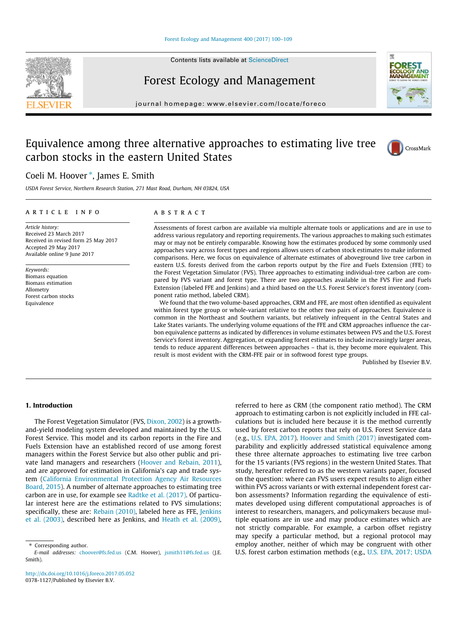## Forest Ecology and Management

journal homepage: [www.elsevier.com/locate/foreco](http://www.elsevier.com/locate/foreco)

## Equivalence among three alternative approaches to estimating live tree carbon stocks in the eastern United States

### Coeli M. Hoover<sup>\*</sup>, James E. Smith

USDA Forest Service, Northern Research Station, 271 Mast Road, Durham, NH 03824, USA

#### article info

Article history: Received 23 March 2017 Received in revised form 25 May 2017 Accepted 29 May 2017 Available online 9 June 2017

Keywords: Biomass equation Biomass estimation Allometry Forest carbon stocks Equivalence

#### **ABSTRACT**

Assessments of forest carbon are available via multiple alternate tools or applications and are in use to address various regulatory and reporting requirements. The various approaches to making such estimates may or may not be entirely comparable. Knowing how the estimates produced by some commonly used approaches vary across forest types and regions allows users of carbon stock estimates to make informed comparisons. Here, we focus on equivalence of alternate estimates of aboveground live tree carbon in eastern U.S. forests derived from the carbon reports output by the Fire and Fuels Extension (FFE) to the Forest Vegetation Simulator (FVS). Three approaches to estimating individual-tree carbon are compared by FVS variant and forest type. There are two approaches available in the FVS Fire and Fuels Extension (labeled FFE and Jenkins) and a third based on the U.S. Forest Service's forest inventory (component ratio method, labeled CRM).

We found that the two volume-based approaches, CRM and FFE, are most often identified as equivalent within forest type group or whole-variant relative to the other two pairs of approaches. Equivalence is common in the Northeast and Southern variants, but relatively infrequent in the Central States and Lake States variants. The underlying volume equations of the FFE and CRM approaches influence the carbon equivalence patterns as indicated by differences in volume estimates between FVS and the U.S. Forest Service's forest inventory. Aggregation, or expanding forest estimates to include increasingly larger areas, tends to reduce apparent differences between approaches – that is, they become more equivalent. This result is most evident with the CRM-FFE pair or in softwood forest type groups.

Published by Elsevier B.V.

#### 1. Introduction

The Forest Vegetation Simulator (FVS, [Dixon, 2002](#page--1-0)) is a growthand-yield modeling system developed and maintained by the U.S. Forest Service. This model and its carbon reports in the Fire and Fuels Extension have an established record of use among forest managers within the Forest Service but also other public and private land managers and researchers [\(Hoover and Rebain, 2011\)](#page--1-0), and are approved for estimation in California's cap and trade system [\(California Environmental Protection Agency Air Resources](#page--1-0) [Board, 2015\)](#page--1-0). A number of alternate approaches to estimating tree carbon are in use, for example see [Radtke et al. \(2017\)](#page--1-0). Of particular interest here are the estimations related to FVS simulations; specifically, these are: [Rebain \(2010\)](#page--1-0), labeled here as FFE, [Jenkins](#page--1-0) [et al. \(2003\),](#page--1-0) described here as Jenkins, and [Heath et al. \(2009\),](#page--1-0) referred to here as CRM (the component ratio method). The CRM approach to estimating carbon is not explicitly included in FFE calculations but is included here because it is the method currently used by forest carbon reports that rely on U.S. Forest Service data (e.g., [U.S. EPA, 2017](#page--1-0)). [Hoover and Smith \(2017\)](#page--1-0) investigated comparability and explicitly addressed statistical equivalence among these three alternate approaches to estimating live tree carbon for the 15 variants (FVS regions) in the western United States. That study, hereafter referred to as the western variants paper, focused on the question: where can FVS users expect results to align either within FVS across variants or with external independent forest carbon assessments? Information regarding the equivalence of estimates developed using different computational approaches is of interest to researchers, managers, and policymakers because multiple equations are in use and may produce estimates which are not strictly comparable. For example, a carbon offset registry may specify a particular method, but a regional protocol may employ another, neither of which may be congruent with other U.S. forest carbon estimation methods (e.g., [U.S. EPA, 2017; USDA](#page--1-0)







<sup>\*</sup> Corresponding author.

E-mail addresses: [choover@fs.fed.us](mailto:choover@fs.fed.us) (C.M. Hoover), [jsmith11@fs.fed.us](mailto:jsmith11@fs.fed.us) (J.E. Smith).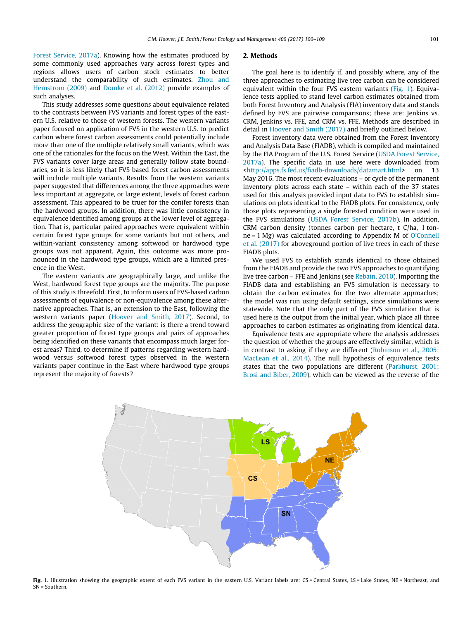[Forest Service, 2017a](#page--1-0)). Knowing how the estimates produced by some commonly used approaches vary across forest types and regions allows users of carbon stock estimates to better understand the comparability of such estimates. [Zhou and](#page--1-0) [Hemstrom \(2009\)](#page--1-0) and [Domke et al. \(2012\)](#page--1-0) provide examples of such analyses.

This study addresses some questions about equivalence related to the contrasts between FVS variants and forest types of the eastern U.S. relative to those of western forests. The western variants paper focused on application of FVS in the western U.S. to predict carbon where forest carbon assessments could potentially include more than one of the multiple relatively small variants, which was one of the rationales for the focus on the West. Within the East, the FVS variants cover large areas and generally follow state boundaries, so it is less likely that FVS based forest carbon assessments will include multiple variants. Results from the western variants paper suggested that differences among the three approaches were less important at aggregate, or large extent, levels of forest carbon assessment. This appeared to be truer for the conifer forests than the hardwood groups. In addition, there was little consistency in equivalence identified among groups at the lower level of aggregation. That is, particular paired approaches were equivalent within certain forest type groups for some variants but not others, and within-variant consistency among softwood or hardwood type groups was not apparent. Again, this outcome was more pronounced in the hardwood type groups, which are a limited presence in the West.

The eastern variants are geographically large, and unlike the West, hardwood forest type groups are the majority. The purpose of this study is threefold. First, to inform users of FVS-based carbon assessments of equivalence or non-equivalence among these alternative approaches. That is, an extension to the East, following the western variants paper ([Hoover and Smith, 2017](#page--1-0)). Second, to address the geographic size of the variant: is there a trend toward greater proportion of forest type groups and pairs of approaches being identified on these variants that encompass much larger forest areas? Third, to determine if patterns regarding western hardwood versus softwood forest types observed in the western variants paper continue in the East where hardwood type groups represent the majority of forests?

#### 2. Methods

The goal here is to identify if, and possibly where, any of the three approaches to estimating live tree carbon can be considered equivalent within the four FVS eastern variants (Fig. 1). Equivalence tests applied to stand level carbon estimates obtained from both Forest Inventory and Analysis (FIA) inventory data and stands defined by FVS are pairwise comparisons; these are: Jenkins vs. CRM, Jenkins vs. FFE, and CRM vs. FFE. Methods are described in detail in [Hoover and Smith \(2017\)](#page--1-0) and briefly outlined below.

Forest inventory data were obtained from the Forest Inventory and Analysis Data Base (FIADB), which is compiled and maintained by the FIA Program of the U.S. Forest Service ([USDA Forest Service,](#page--1-0) [2017a\)](#page--1-0). The specific data in use here were downloaded from [<http://apps.fs.fed.us/fiadb-downloads/datamart.html>](http://apps.fs.fed.us/fiadb-downloads/datamart.html) on 13 May 2016. The most recent evaluations – or cycle of the permanent inventory plots across each state – within each of the 37 states used for this analysis provided input data to FVS to establish simulations on plots identical to the FIADB plots. For consistency, only those plots representing a single forested condition were used in the FVS simulations ([USDA Forest Service, 2017b](#page--1-0)). In addition, CRM carbon density (tonnes carbon per hectare, t C/ha, 1 ton $ne = 1$  Mg) was calculated according to Appendix M of [O'Connell](#page--1-0) [et al. \(2017\)](#page--1-0) for aboveground portion of live trees in each of these FIADB plots.

We used FVS to establish stands identical to those obtained from the FIADB and provide the two FVS approaches to quantifying live tree carbon – FFE and Jenkins (see [Rebain, 2010\)](#page--1-0). Importing the FIADB data and establishing an FVS simulation is necessary to obtain the carbon estimates for the two alternate approaches; the model was run using default settings, since simulations were statewide. Note that the only part of the FVS simulation that is used here is the output from the initial year, which place all three approaches to carbon estimates as originating from identical data.

Equivalence tests are appropriate where the analysis addresses the question of whether the groups are effectively similar, which is in contrast to asking if they are different ([Robinson et al., 2005;](#page--1-0) [MacLean et al., 2014\)](#page--1-0). The null hypothesis of equivalence tests states that the two populations are different ([Parkhurst, 2001;](#page--1-0) [Brosi and Biber, 2009](#page--1-0)), which can be viewed as the reverse of the



Fig. 1. Illustration showing the geographic extent of each FVS variant in the eastern U.S. Variant labels are: CS = Central States, LS = Lake States, NE = Northeast, and SN = Southern.